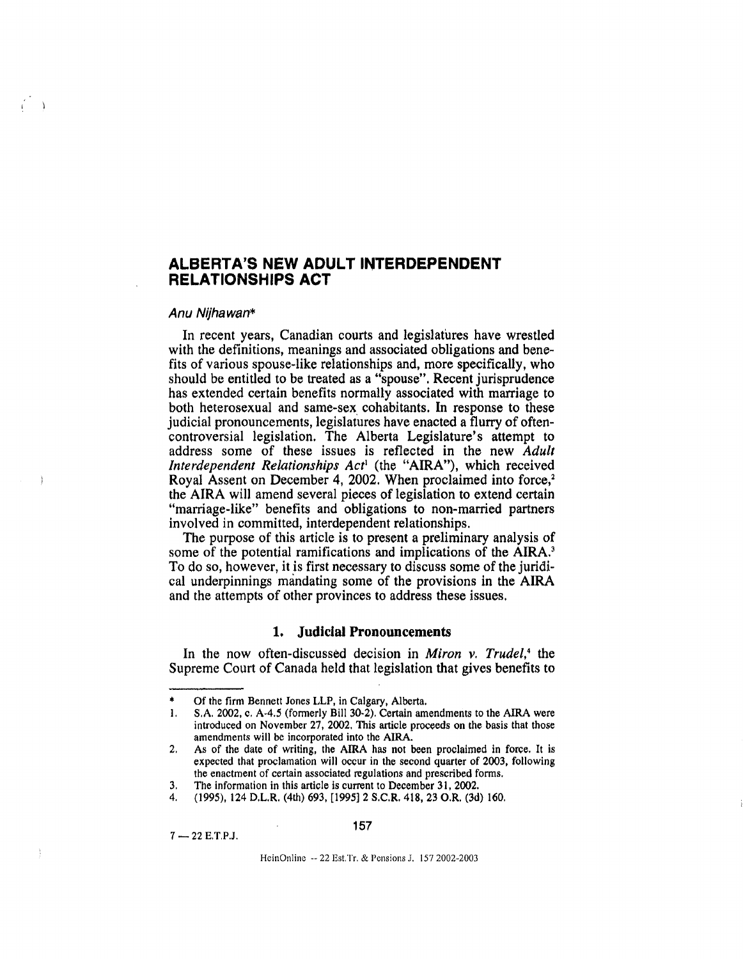# ALBERTA'S NEW ADULT INTERDEPENDENT RELATIONSHIPS ACT

# Anu Nijhawan\*

In recent years, Canadian courts and legislatures have wrestled with the definitions, meanings and associated obligations and benefits of various spouse-like relationships and, more specifically, who should be entitled to be treated as a "spouse". Recent jurisprudence has extended certain benefits normally associated with marriage to both heterosexual and same-sex cohabitants. In response to these judicial pronouncements, legislatures have enacted a flurry of oftencontroversial legislation. The Alberta Legislature's attempt to address some of these issues is reflected in the new Adult Interdependent Relationships Act' (the "AIRA"), which received Royal Assent on December 4, 2002. When proclaimed into force,' the AIRA will amend several pieces of legislation to extend certain "marriage-like" benefits and obligations to non-married partners involved in committed, interdependent relationships.

The purpose of this article is to present a preliminary analysis of some of the potential ramifications and implications of the AIRA.<sup>3</sup> To do so, however, it is first necessary to discuss some of the juridical underpinnings mandating some of the provisions in the AIRA and the attempts of other provinces to address these issues.

## 1. Judicial Pronouncements

In the now often-discussed decision in *Miron*  $\nu$ . *Trudel*,<sup>4</sup> the Supreme Court of Canada held that legislation that gives benefits to

4. (1995), 124 D.L.R. (4th) 693, [1995] 2 S.C.R. 418, 23 O.R. (3d) 160.

 $7 - 22$  E, T, P.J.

HeinOnline -- 22 Est, Tr, & Pensions J. 157 2002-2003

Of the firm Bennett Jones LLP, in Calgary, Alberta.

<sup>1.</sup> S.A. 2002, c. A-4.5 (formerly Bill 30-2). Certain amendments to the AIRA were introduced on November 27, 2002. This article proceeds on the basis that those amendments will be incorporated into the AIRA.

<sup>2.</sup> As of the date of writing, the AIRA has not been proclaimed in force. It is expected that proclamation will occur in the second quarter of 2003, following the enactment of certain associated regulations and prescribed forms.

<sup>3,</sup> The information in this article is current to December 31, 2002.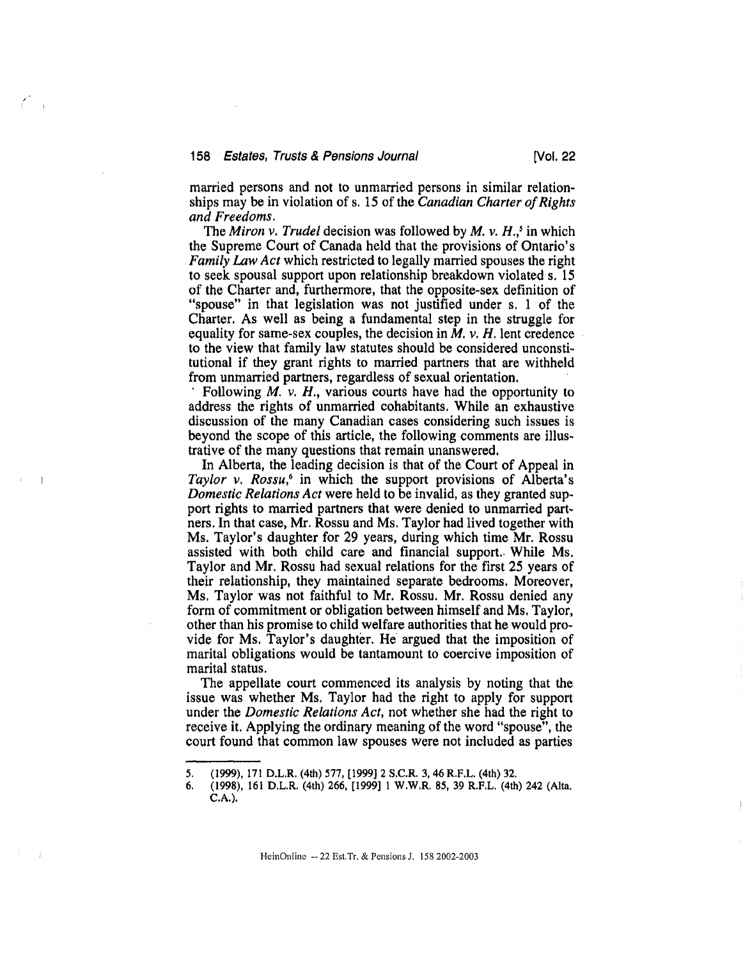married persons and not to unmarried persons in similar relationships may be in violation of s. 15 of the Canadian Charter of Rights and Freedoms.

The Miron v. Trudel decision was followed by  $M$ , v.  $H$ <sub>.</sub>,<sup>5</sup> in which the Supreme Court of Canada held that the provisions of Ontario's Family Law Act which restricted to legally married spouses the right to seek spousal support upon relationship breakdown violated s. 15 of the Charter and, furthermore, that the opposite-sex definition of "spouse" in that legislation was not justified under s. 1 of the Charter. As well as being a fundamental step in the struggle for equality for same-sex couples, the decision in  $M$ .  $\nu$ .  $H$ . lent credence to the view that family law statutes should be considered unconstitutional if they grant rights to married partners that are withheld from unmarried partners, regardless of sexual orientation,

'Following  $M$ .  $\nu$ .  $H$ ., various courts have had the opportunity to address the rights of unmarried cohabitants. While an exhaustive discussion of the many Canadian cases considering such issues is beyond the scope of this article, the following comments are illustrative of the many questions that remain unanswered,

In Alberta, the leading decision is that of the Court of Appeal in Taylor v. Rossu,<sup>6</sup> in which the support provisions of Alberta's Domestic Relations Act were held to be invalid, as they granted support rights to married partners that were denied to unmarried partners. In that case, Mr. Rossu and Ms. Taylor had lived together with Ms. Taylor's daughter for 29 years, during which time Mr. Rossu assisted with both child care and financial support. While Ms. Taylor and Mr. Rossu had sexual relations for the first 25 years of their relationship, they maintained separate bedrooms. Moreover, Ms. Taylor was not faithful to Mr. Rossu. Mr. Rossu denied any form of commitment or obligation between himself and Ms. Taylor, other than his promise to child welfare authorities that he would provide for Ms. Taylor's daughter. He argued that the imposition of marital obligations would be tantamount to coercive imposition of marital status.

The appellate court commenced its analysis by noting that the issue was whether Ms. Taylor had the right to apply for support under the Domestic Relations Act, not whether she had the right to receive it. Applying the ordinary meaning of the word "spouse", the court found that common law spouses were not included as parties

HeinOnline -- 22 Est.Tr. & Pensions J. 158 2002-2003

<sup>5. (1999), 171</sup> D.L.R. (4th) 577, [1999] 2 S.C.R. 3, 46 R.F.L. (4th) 32.

<sup>6. (1998), 161</sup> D.L.R. (4th) 266, [1999] 1 W,W.R, 85, 39 R.F,L, (4th) 242 (Alta. C.A.).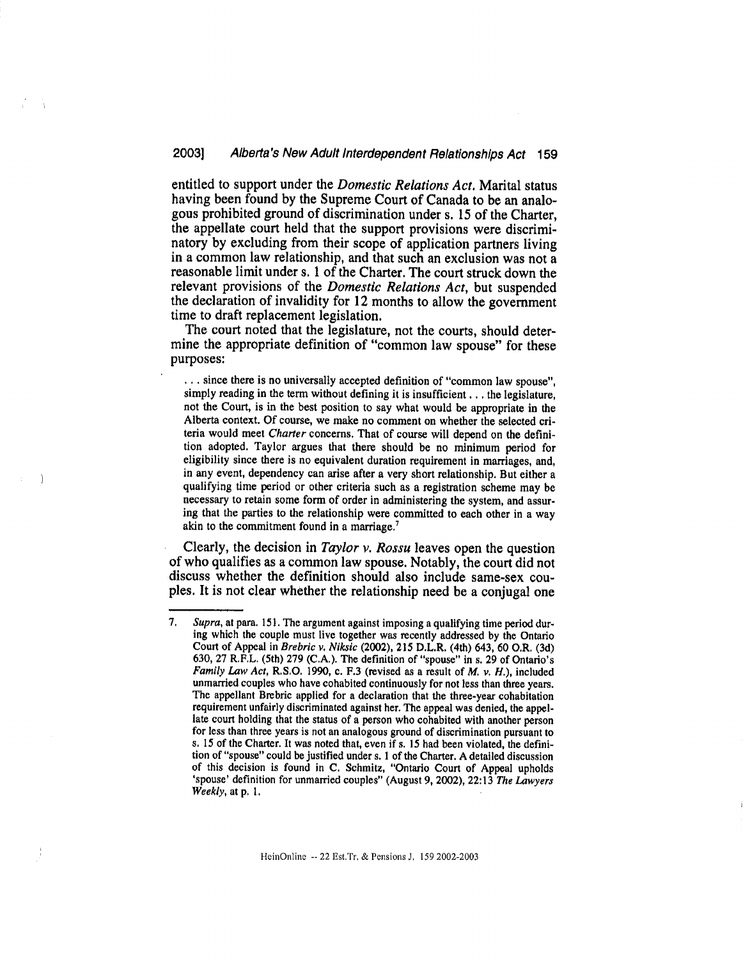entitled to support under the Domestic Relations Act. Marital status having been found by the Supreme Court of Canada to be an analogous prohibited ground of discrimination under s. 15 of the Charter, the appellate court held that the support provisions were discriminatory by excluding from their scope of application partners living in a common law relationship, and that such an exclusion was not a reasonable limit under s. 1 of the Charter. The court struck down the relevant provisions of the Domestic Relations Act, but suspended the declaration of invalidity for 12 months to allow the government time to draft replacement legislation.

The court noted that the legislature, not the courts, should determine the appropriate definition of "common law spouse" for these purposes:

. since there is no universally accepted definition of "common law spouse", simply reading in the term without defining it is insufficient . . . the legislature, not the Court, is in the best position to say what would be appropriate in the Alberta context. Of course, we make no comment on whether the selected criteria would meet Charter concerns. That of course will depend on the definition adopted. Taylor argues that there should be no minimum period for eligibility since there is no equivalent duration requirement in marriages, and, in any event, dependency can arise after a very short relationship. But either a qualifying time period or other criteria such as a registration scheme may be necessary to retain some form of order in administering the system, and assuring that the parties to the relationship were committed to each other in a way akin to the commitment found in a marriage.'

Clearly, the decision in Taylor v. Rossu leaves open the question of who qualifies as a common law spouse. Notably, the court did not discuss whether the definition should also include same-sex couples. It is not clear whether the relationship need be a conjugal one

<sup>7.</sup> Supra, at para. 151. The argument against imposing a qualifying time period during which the couple must live together was recently addressed by the Ontario Court of Appeal in Brebric v, Niksic (2002), 215 D.L.R. (4th) 643, 60 O.R. (3d) 630, 27 R.F.L. (5th) 279 (C.A.). The definition of "spouse" in s. 29 of Ontario's Family Law Act, R.S.O. 1990, c. F.3 (revised as a result of  $M$ ,  $\nu$ ,  $H$ .), included unmarried couples who have cohabited continuously for not less than three years. The appellant Brebric applied for a declaration that the three-year cohabitation requirement unfairly discriminated against her. The appeal was denied, the appellate court holding that the status of a person who cohabited with another person for less than three years is not an analogous ground of discrimination pursuant to s. 15 of the Charter. It was noted that, even if s. 15 had been violated, the definition of "spouse" could be justified under s. 1 of the Charter. A detailed discussion of this decision is found in C. Schmitz, "Ontario Court of Appeal upholds 'spouse' definition for unmarried couples" (August 9, 2002), 22:13 The Lawyers Weekly, at p. 1,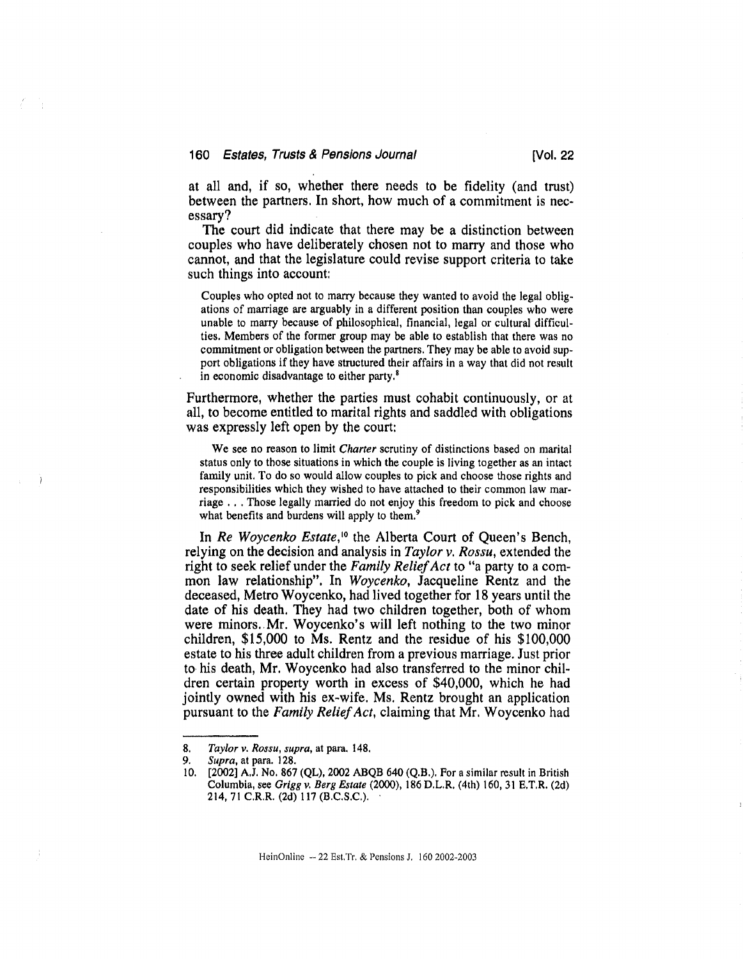## 160 Estates, Trusts & Pensions Journal [Vol. 22]

at all and, if so, whether there needs to be fidelity (and trust) between the partners. In short, how much of a commitment is necessary?

The court did indicate that there may be a distinction between couples who have deliberately chosen not to marry and those who cannot, and that the legislature could revise support criteria to take such things into account:

Couples who opted not to marry because they wanted to avoid the legal obligations of marriage are arguably in a different position than couples who were unable to marry because of philosophical, financial, legal or cultural difficulties. Members of the former group may be able to establish that there was no commitment or obligation between the partners. They may be able to avoid support obligations if they have structured their affairs in a way that did not result in economic disadvantage to either party.8

Furthermore, whether the parties must cohabit continuously, or at all, to become entitled to marital rights and saddled with obligations was expressly left open by the court:

We see no reason to limit Charter scrutiny of distinctions based on marital status only to those situations in which the couple is living together as an intact family unit. To do so would allow couples to pick and choose those rights and responsibilities which they wished to have attached to their common law marriage . . Those legally married do not enjoy this freedom to pick and choose what benefits and burdens will apply to them.<sup>9</sup>

In Re Woycenko Estate,<sup>10</sup> the Alberta Court of Queen's Bench, relying on the decision and analysis in Taylor v. Rossu, extended the right to seek relief under the Family Relief Act to "a party to a common law relationship", In Woycenko, Jacqueline Rentz and the deceased, Metro Woycenko, had lived together for 18 years until the date of his death. They had two children together, both of whom were minors. Mr. Woycenko's will left nothing to the two minor children, \$15,000 to Ms. Rentz and the residue of his \$100,000 estate to his three adult children from a previous marriage. Just prior to his death, Mr. Woycenko had also transferred to the minor children certain property worth in excess of \$40,000, which he had jointly owned with his ex-wife. Ms. Rentz brought an application pursuant to the Family Relief Act, claiming that Mr. Woycenko had

<sup>8.</sup> Taylor v. Rossu, supra, at para. 148.

<sup>9.</sup> Supra, at para. 128.

<sup>10. [2002]</sup> A.J. No. 867 (QL), 2002 ABQB 644) (Q.B.). For a similar result in British Columbia, see Grigg v. Berg Estate (2000), 186 D.L.R. (4th) 160, 31 E.T,R. (24) 214, 71 C.R.R. (2d) 117 (B.C.S.C.). •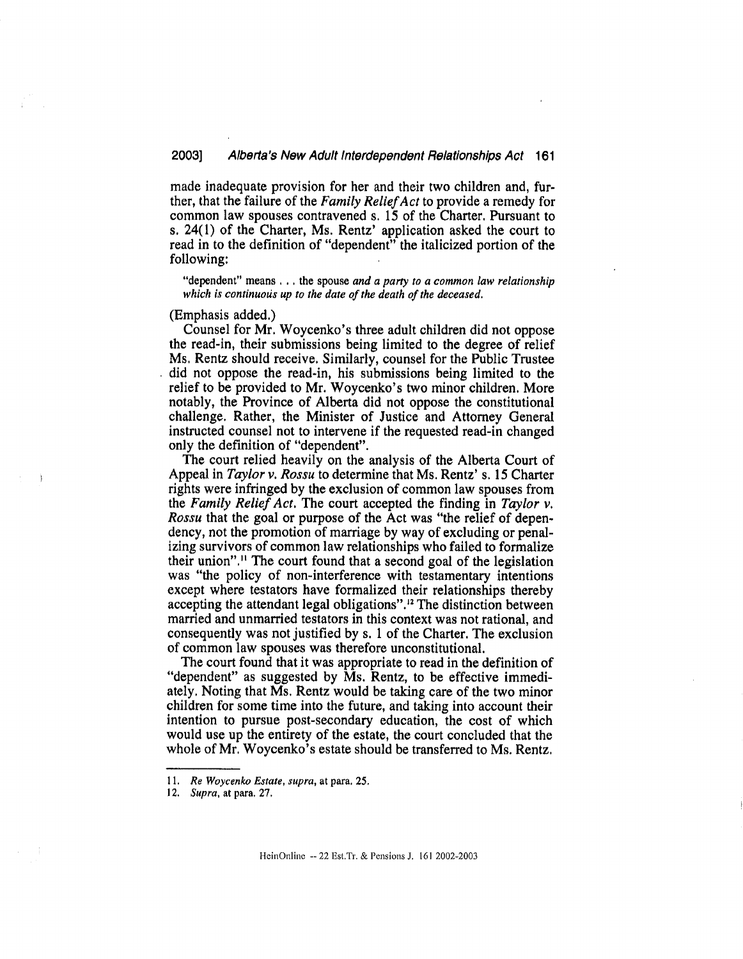made inadequate provision for her and their two children and, further, that the failure of the Family Relief Act to provide a remedy for common law spouses contravened s. 15 of the Charter. Pursuant to s. 24(1) of the Charter, Ms. Rentz' application asked the court to read in to the definition of "dependent" the italicized portion of the following:

"dependent" means  $\dots$  the spouse and a party to a common law relationship which is continuous up to the date of the death of the deceased.

(Emphasis added.)

Counsel for Mr. Woycenko's three adult children did not oppose the read-in, their submissions being limited to the degree of relief Ms. Rentz should receive. Similarly, counsel for the Public Trustee did not oppose the read-in, his submissions being limited to the relief to be provided to Mr. Woycenko's two minor children. More notably, the Province of Alberta did not oppose the constitutional challenge. Rather, the Minister of Justice and Attorney General instructed counsel not to intervene if the requested read-in changed only the definition of "dependent".

The court relied heavily on the analysis of the Alberta Court of Appeal in Taylor v. Rossu to determine that Ms. Rentz' s. 15 Charter rights were infringed by the exclusion of common law spouses from the Family Relief Act. The court accepted the finding in Taylor v. Rossu that the goal or purpose of the Act was "the relief of dependency, not the promotion of marriage by way of excluding or penalizing survivors of common law relationships who failed to formalize their union"." The court found that a second goal of the legislation was "the policy of non-interference with testamentary intentions except where testators have formalized their relationships thereby accepting the attendant legal obligations".'2 The distinction between married and unmarried testators in this context was not rational, and consequently was not justified by s. 1 of the Charter. The exclusion of common law spouses was therefore unconstitutional.

The court found that it was appropriate to read in the definition of "dependent" as suggested by Ms. Rentz, to be effective immediately. Noting that Ms. Rentz would be taking care of the two minor children for some time into the future, and taking into account their intention to pursue post-secondary education, the cost of which would use up the entirety of the estate, the court concluded that the whole of Mr. Woycenko's estate should be transferred to Ms. Rentz.

<sup>11.</sup> Re Woycenko Estate, supra, at para. 25.

<sup>12.</sup> Supra, at para. 27.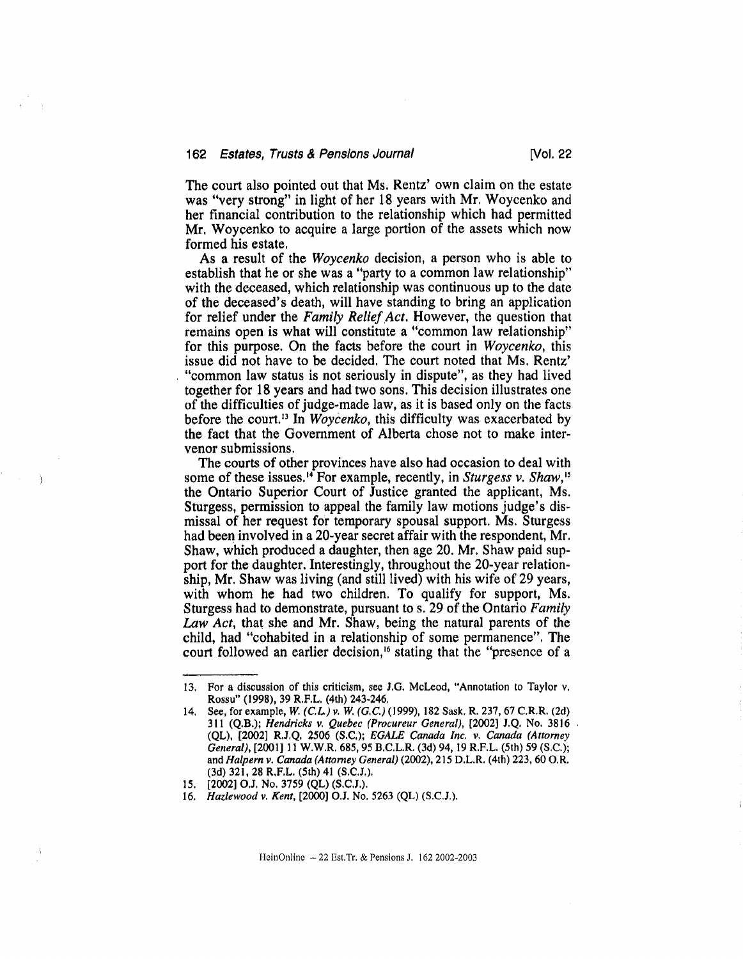The court also pointed out that Ms. Rentz' own claim on the estate was "very strong" in light of her 18 years with Mr. Woycenko and her financial contribution to the relationship which had permitted Mr. Woycenko to acquire a large portion of the assets which now formed his estate.

As a result of the Woycenko decision, a person who is able to establish that he or she was a "party to a common law relationship" with the deceased, which relationship was continuous up to the date of the deceased's death, will have standing to bring an application for relief under the Family Relief Act. However, the question that remains open is what will constitute a "common law relationship" for this purpose. On the facts before the court in Woycenko, this issue did not have to be decided. The court noted that Ms. Rentz' "common law status is not seriously in dispute", as they had lived together for 18 years and had two sons. This decision illustrates one of the difficulties of judge-made law, as it is based only on the facts before the court.<sup>13</sup> In *Woycenko*, this difficulty was exacerbated by the fact that the Government of Alberta chose not to make intervenor submissions.

The courts of other provinces have also had occasion to deal with some of these issues.<sup>14</sup> For example, recently, in *Sturgess v. Shaw*,<sup>15</sup> the Ontario Superior Court of Justice granted the applicant, Ms. Sturgess, permission to appeal the family law motions judge's dismissal of her request for temporary spousal support. Ms. Sturgess had been involved in a 20-year secret affair with the respondent, Mr. Shaw, which produced a daughter, then age 20. Mr. Shaw paid support for the daughter. Interestingly, throughout the 20-year relationship, Mr. Shaw was living (and still lived) with his wife of 29 years, with whom he had two children. To qualify for support, Ms. Sturgess had to demonstrate, pursuant to s. 29 of the Ontario Family Law Act, that she and Mr. Shaw, being the natural parents of the child, had "cohabited in a relationship of some permanence". The court followed an earlier decision,<sup>16</sup> stating that the "presence of a

<sup>13.</sup> For a discussion of this criticism, see J.G. McLeod, "Annotation to Taylor v. Rossu" (1998), 39 R.F.L. (4th) 243-246.

<sup>14.</sup> See, for example, W. (C.L.) v. W. (G.C.) (1999), 182 Sask. R. 237, 67 C.R.R. (2d) 311 (Q.B.); Hendricks v. Quebec (Procureur General), [2002) J.Q. No. 3816 (QL), [2002] R.J.Q. 2506 (S.C.); EGALE Canada Inc. v. Canada (Attorney General), [2001] 11 W.W.R. 685, 95 B.C.L.R. (3d) 94, 19 R.F.L. (5th) 59 (S.C.); and Halpern v. Canada (Attorney General) (2002), 215 D.L.R. (4th) 223, 60 O.R. (3d) 321, 28 R.F.L. (5th) 41 (S.C.J.).

<sup>15. [2002]</sup> O.J. No. 3759 (QL) (S.C.J.).

<sup>16.</sup> Hazlewood v. Kent, [2000] O.J. No. 5263 (QL) (S.C.J.).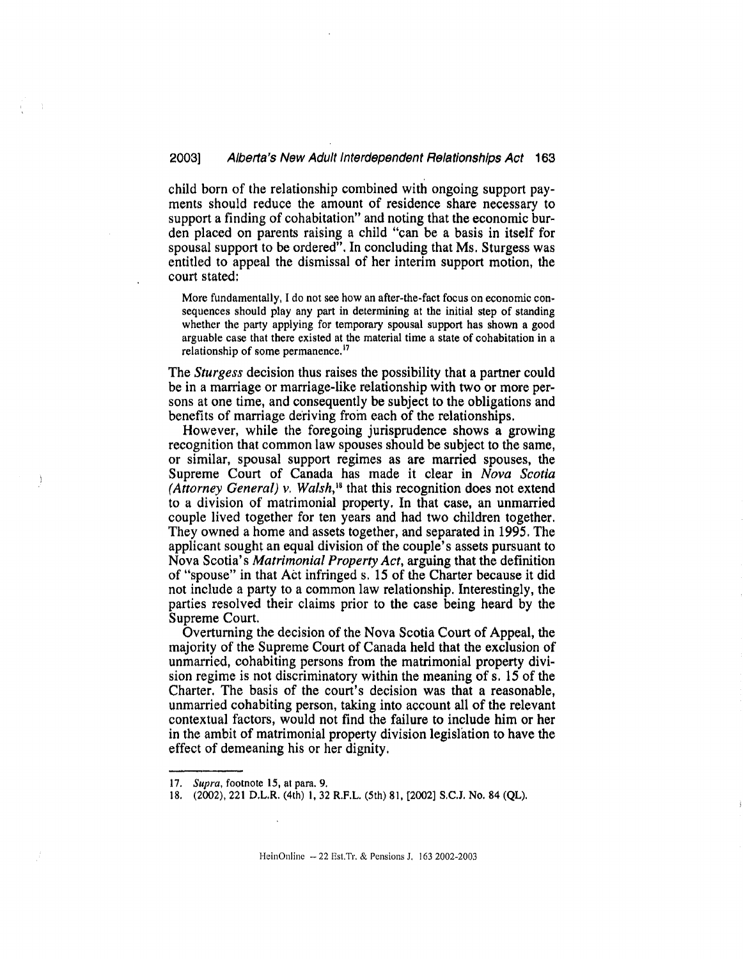child born of the relationship combined with ongoing support payments should reduce the amount of residence share necessary to support a finding of cohabitation" and noting that the economic burden placed on parents raising a child "can be a basis in itself for spousal support to be ordered". In concluding that Ms. Sturgess was entitled to appeal the dismissal of her interim support motion, the court stated:

More fundamentally, I do not see how an after-the-fact focus on economic consequences should play any part in determining at the initial step of standing whether the party applying for temporary spousal support has shown a good arguable case that there existed at the material time a state of cohabitation in a relationship of some permanence.<sup>17</sup>

The *Sturgess* decision thus raises the possibility that a partner could be in a marriage or marriage-like relationship with two or more persons at one time, and consequently be subject to the obligations and benefits of marriage deriving from each of the relationships.

However, while the foregoing jurisprudence shows a growing recognition that common law spouses should be subject to the same, or similar, spousal support regimes as are married spouses, the Supreme Court of Canada has made it clear in Nova Scotia (Attorney General) v. Walsh,<sup>18</sup> that this recognition does not extend to a division of matrimonial property. In that case, an unmarried couple lived together for ten years and had two children together. They owned a home and assets together, and separated in 1995. The applicant sought an equal division of the couple's assets pursuant to Nova Scotia's Matrimonial Property Act, arguing that the definition of "spouse" in that Act infringed s. 15 of the Charter because it did not include a party to a common law relationship. Interestingly, the parties resolved their claims prior to the case being heard by the Supreme Court.

Overturning the decision of the Nova Scotia Court of Appeal, the majority of the Supreme Court of Canada held that the exclusion of unmarried, cohabiting persons from the matrimonial property division regime is not discriminatory within the meaning of s. 15 of the Charter. The basis of the court's decision was that a reasonable, unmarried cohabiting person, taking into account all of the relevant contextual factors, would not find the failure to include him or her in the ambit of matrimonial property division legislation to have the effect of demeaning his or her dignity.

HeinOnline -- 22 Est,Tr, & Pensions J, 163 2002-2003

<sup>17.</sup> Supra, footnote 15, at para. 9.

<sup>18. (2002), 221</sup> D.L.R. (4th) 1, 32 R.F.L. (5th) 81, 120021 S.C.J. No. 84 (QL).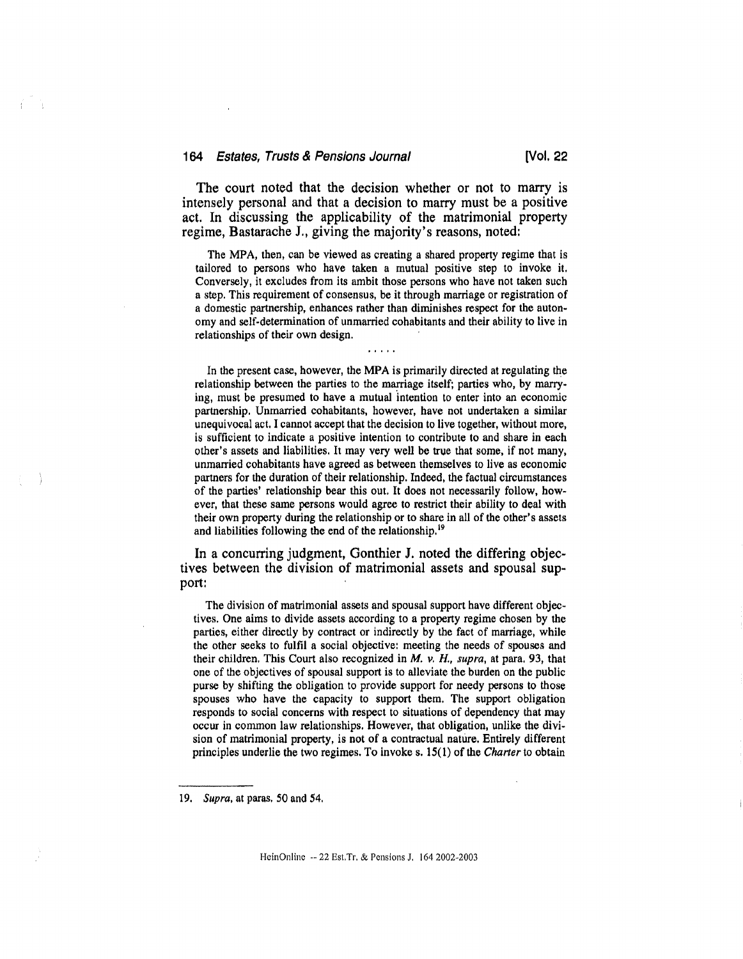The court noted that the decision whether or not to marry is intensely personal and that a decision to marry must be a positive act. In discussing the applicability of the matrimonial property regime, Bastarache J., giving the majority's reasons, noted:

The MPA, then, can be viewed as creating a shared property regime that is tailored to persons who have taken a mutual positive step to invoke it. Conversely, it excludes from its ambit those persons who have not taken such a step. This requirement of consensus, be it through marriage or registration of a domestic partnership, enhances rather than diminishes respect for the autonomy and self-determination of unmarried cohabitants and their ability to live in relationships of their own design.

 $\overline{1}$   $\overline{1}$   $\overline{1}$   $\overline{1}$   $\overline{1}$   $\overline{1}$ 

In the present case, however, the MPA is primarily directed at regulating the relationship between the parties to the marriage itself; parties who, by marrying, must be presumed to have a mutual intention to enter into an economic partnership. Unmarried cohabitants, however, have not undertaken a similar unequivocal act, I cannot accept that the decision to live together, without more, is sufficient to indicate a positive intention to contribute to and share in each other's assets and liabilities. It may very well be true that some, if not many, unmarried cohabitants have agreed as between themselves to live as economic partners for the duration of their relationship. Indeed, the factual circumstances of the parties' relationship bear this out. It does not necessarily follow, however, that these same persons would agree to restrict their ability to deal with their own property during the relationship or to share in all of the other's assets and liabilities following the end of the relationship.'

In a concurring judgment, Gonthier J. noted the differing objectives between the division of matrimonial assets and spousal support:

The division of matrimonial assets and spousal support have different objectives. One aims to divide assets according to a property regime chosen by the parties, either directly by contract or indirectly by the fact of marriage, while the other seeks to fulfil a social objective: meeting the needs of spouses and their children. This Court also recognized in  $M$ .  $\nu$ ,  $H$ ., supra, at para. 93, that one of the objectives of spousal support is to alleviate the burden on the public purse by shifting the obligation to provide support for needy persons to those spouses who have the capacity to support them. The support obligation responds to social concerns with respect to situations of dependency that may occur in common law relationships. However, that obligation, unlike the division of matrimonial property, is not of a contractual nature. Entirely different principles underlie the two regimes. To invoke s. 15(1) of the Charter to obtain

<sup>19.</sup> Supra, at paras. 50 and 54.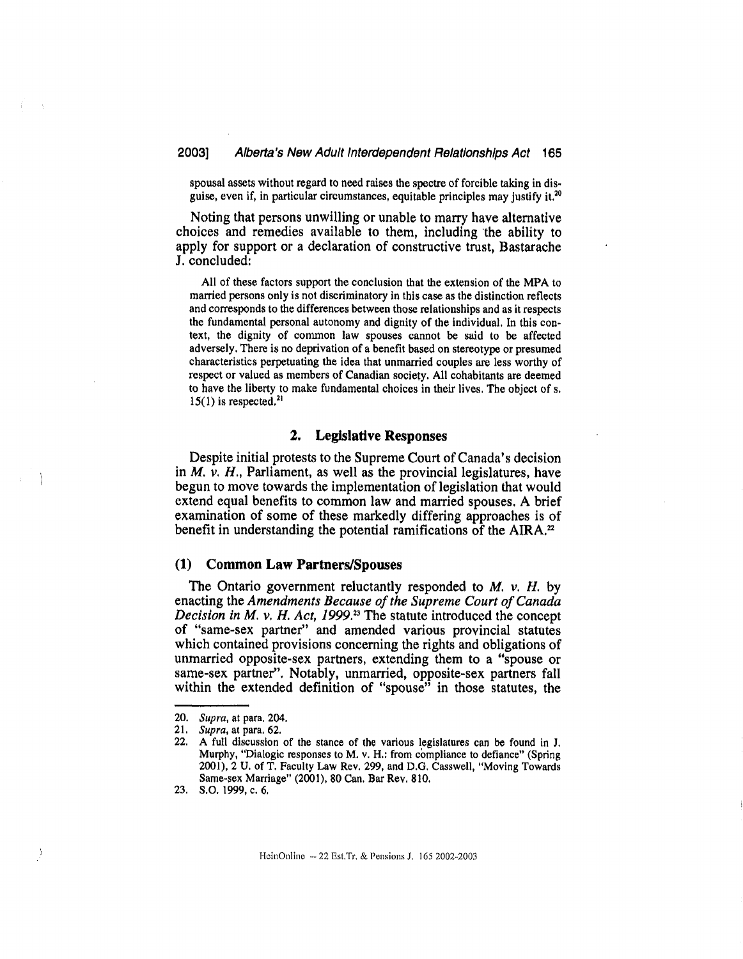spousal assets without regard to need raises the spectre of forcible taking in disguise, even if, in particular circumstances, equitable principles may justify it.<sup>20</sup>

Noting that persons unwilling or unable to marry have alternative choices and remedies available to them, including 'the ability to apply for support or a declaration of constructive trust, Bastarache J. concluded:

All of these factors support the conclusion that the extension of the MPA to married persons only is not discriminatory in this case as the distinction reflects and corresponds to the differences between those relationships and as it respects the fundamental personal autonomy and dignity of the individual. In this context, the dignity of common law spouses cannot be said to be affected adversely. There is no deprivation of a benefit based on stereotype or presumed characteristics perpetuating the idea that unmarried couples are less worthy of respect or valued as members of Canadian society. All cohabitants are deemed to have the liberty to make fundamental choices in their lives. The object of s.  $15(1)$  is respected.<sup>21</sup>

## 2. Legislative Responses

Despite initial protests to the Supreme Court of Canada's decision in  $M$ .  $\nu$ .  $H$ ., Parliament, as well as the provincial legislatures, have begun to move towards the implementation of legislation that would extend equal benefits to common law and married spouses. A brief examination of some of these markedly differing approaches is of benefit in understanding the potential ramifications of the AIRA.<sup>22</sup>

#### (1) Common Law Partners/Spouses

The Ontario government reluctantly responded to  $M$ .  $\nu$ .  $H$ . by enacting the Amendments Because of the Supreme Court of Canada Decision in M. v. H. Act, 1999." The statute introduced the concept of "same-sex partner" and amended various provincial statutes which contained provisions concerning the rights and obligations of unmarried opposite-sex partners, extending them to a "spouse or same-sex partner". Notably, unmarried, opposite-sex partners fall within the extended definition of "spouse" in those statutes, the

<sup>20.</sup> Supra, at para. 204.<br>21. Supra, at para. 62.

<sup>21.</sup> Supra, at para. 62.<br>22. A full discussion

A full discussion of the stance of the various legislatures can be found in J. Murphy, "Dialogic responses to M. v. H.: from compliance to defiance" (Spring 2001), 2 U. of T. Faculty Law Rev. 299, and D.G. Casswell, "Moving Towards Same-sex Marriage" (2001), 80 Can. Bar Rev. 810.

<sup>23.</sup> S.O. 1999, c. 6.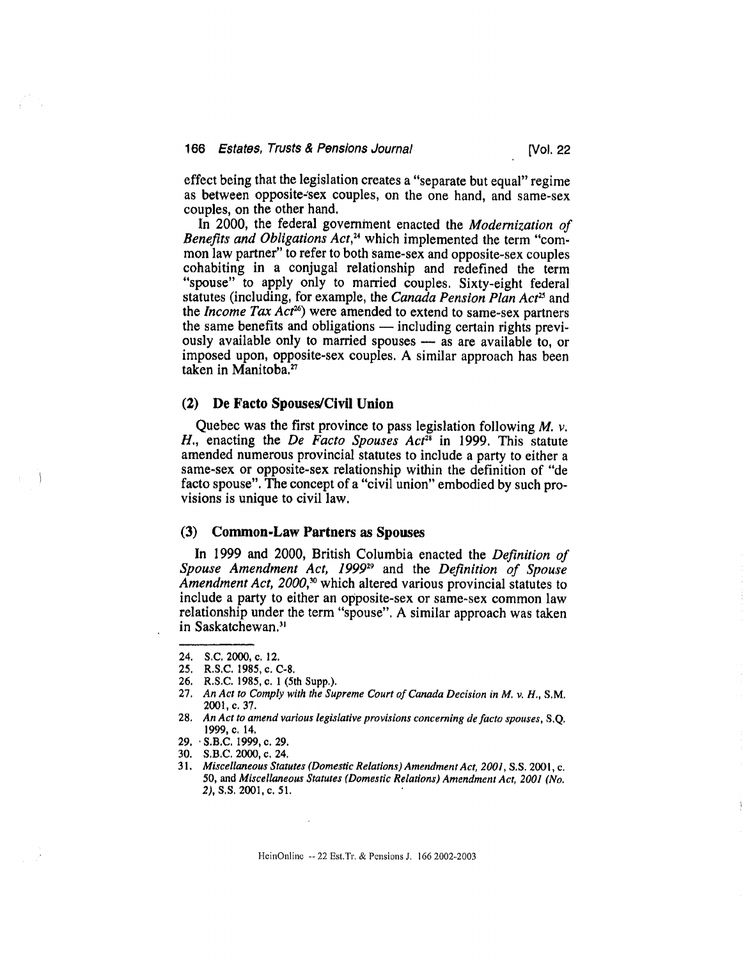effect being that the legislation creates a "separate but equal" regime as between opposite-sex couples, on the one hand, and same-sex couples, on the other hand.

In 2000, the federal government enacted the Modernization of Benefits and Obligations  $Act<sup>24</sup>$  which implemented the term "common law partner" to refer to both same-sex and opposite-sex couples cohabiting in a conjugal relationship and redefined the term "spouse" to apply only to married couples. Sixty-eight federal statutes (including, for example, the Canada Pension Plan Act<sup>25</sup> and the *Income Tax Act<sup>26</sup>*) were amended to extend to same-sex partners the same benefits and obligations — including certain rights previously available only to married spouses — as are available to, or imposed upon, opposite-sex couples. A similar approach has been taken in Manitoba,"

## (2) De Facto Spouses/Civil Union

Quebec was the first province to pass legislation following  $M$ .  $\nu$ . H., enacting the De Facto Spouses  $Act^{28}$  in 1999. This statute amended numerous provincial statutes to include a party to either a same-sex or opposite-sex relationship within the definition of "de facto spouse". The concept of a "civil union" embodied by such provisions is unique to civil law.

## (3) Common-Law Partners as Spouses

In 1999 and 2000, British Columbia enacted the *Definition of* Spouse Amendment Act, 1999<sup>29</sup> and the Definition of Spouse Amendment Act, 2000,<sup>30</sup> which altered various provincial statutes to include a party to either an opposite-sex or same-sex common law relationship under the term "spouse". A similar approach was taken in Saskatchewan.31

- 27. An Act to Comply with the Supreme Court of Canada Decision in M. v. H., S.M. 2001, c. 37.
- 28, An Act to amend various legislative provisions concerning de facto spouses, S.Q. 1999, c. 14,

HcinOnlinc -- 22 Est.Tr. & Pensions J. 166 2002-2003

<sup>24.</sup> S.C. 2000, c. 12.

<sup>25.</sup> R.S.C. 1985, c. C-8.

<sup>26.</sup> R.S.C. 1985, 0. 1 (5th Supp.).

<sup>29.</sup> S.B.C. 1999, c. 29.

<sup>30.</sup> S.B.C. 2000, c. 24.

<sup>31.</sup> Miscellaneous Statutes (Domestic Relations) Amendment Act, 2001, S.S. 2001, c. 50, and Miscellaneous Statutes (Domestic Relations) Amendment Act, 2001 (No. 2), S.S. 2001, c. 51.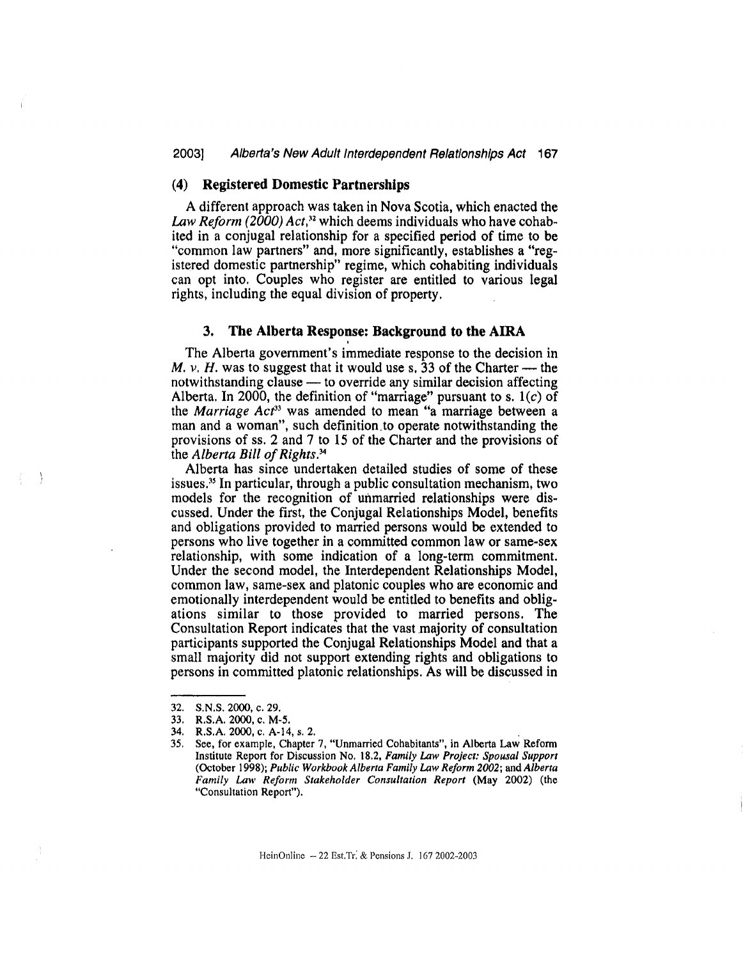#### 20031 Alberta's New Adult Interdependent Relationships Act 167

## (4) Registered Domestic Partnerships

A different approach was taken in Nova Scotia, which enacted the Law Reform (2000) Act,<sup>32</sup> which deems individuals who have cohabited in a conjugal relationship for a specified period of time to be "common law partners" and, more significantly, establishes a "registered domestic partnership" regime, which cohabiting individuals can opt into. Couples who register are entitled to various legal rights, including the equal division of property.

# 3. The Alberta Response: Background to the AIRA

The Alberta government's immediate response to the decision in M.  $\nu$ , H. was to suggest that it would use s. 33 of the Charter — the notwithstanding clause — to override any similar decision affecting Alberta. In 2000, the definition of "marriage" pursuant to s.  $1(c)$  of the *Marriage Act*<sup>33</sup> was amended to mean "a marriage between a man and a woman", such definition.to operate notwithstanding the provisions of ss. 2 and 7 to 15 of the Charter and the provisions of the Alberta Bill of Rights. $34$ 

Alberta has since undertaken detailed studies of some of these issues." In particular, through a public consultation mechanism, two models for the recognition of unmarried relationships were discussed. Under the first, the Conjugal Relationships Model, benefits and obligations provided to married persons would be extended to persons who live together in a committed common law or same-sex relationship, with some indication of a long-term commitment. Under the second model, the Interdependent Relationships Model, common law, same-sex and platonic couples who are economic and emotionally interdependent would be entitled to benefits and obligations similar to those provided to married persons. The Consultation Report indicates that the vast majority of consultation participants supported the Conjugal Relationships Model and that a small majority did not support extending rights and obligations to persons in committed platonic relationships. As will be discussed in

HeinOnline -- 22 Est.Tr: & Pensions J. 167 2002-2003

<sup>32.</sup> S.N.S. 2000, c. 29.

<sup>33.</sup> R.S.A. 2000, c. M-5.

<sup>34.</sup> R.S.A. 2000, c. A-14, s. 2.

<sup>35.</sup> See, for example, Chapter 7, "Unmarried Cohabitants", in Alberta Law Reform Institute Report for Discussion No. 18.2, Family Law Project: Spousal Support (October 1998); Public Workbook Alberta Family Law Reform 2002; and Alberta Family Law Reform Stakeholder Consultation Report (May 2002) (the "Consultation Report").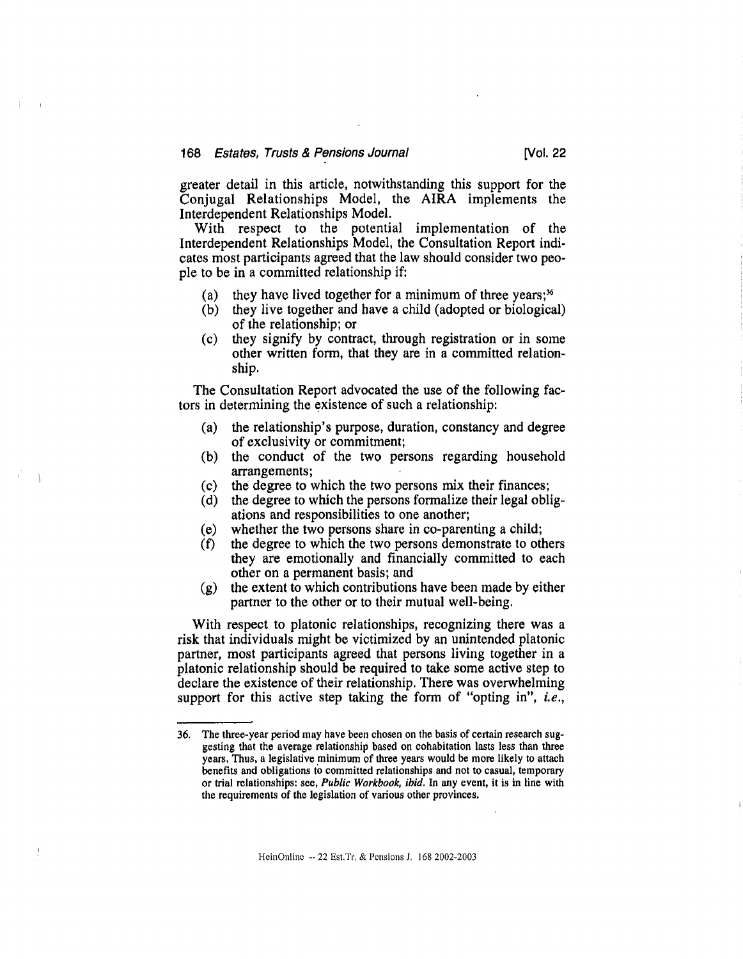greater detail in this article, notwithstanding this support for the Conjugal Relationships Model, the AIRA implements the Interdependent Relationships Model.

With respect to the potential implementation of the Interdependent Relationships Model, the Consultation Report indicates most participants agreed that the law should consider two people to be in a committed relationship if:

- (a) they have lived together for a minimum of three years;<sup>36</sup>
- (b) they live together and have a child (adopted or biological) of the relationship; or
- (c) they signify by contract, through registration or in some other written form, that they are in a committed relationship.

The Consultation Report advocated the use of the following factors in determining the existence of such a relationship:

- (a) the relationship's purpose, duration, constancy and degree of exclusivity or commitment;
- (b) the conduct of the two persons regarding household arrangements;
- (c) the degree to which the two persons mix their finances;
- (d) the degree to which the persons formalize their legal obligations and responsibilities to one another;
- (e) whether the two persons share in co-parenting a child;<br>(f) the degree to which the two persons demonstrate to other
- the degree to which the two persons demonstrate to others they are emotionally and financially committed to each other on a permanent basis; and
- (g) the extent to which contributions have been made by either partner to the other or to their mutual well-being.

With respect to platonic relationships, recognizing there was a risk that individuals might be victimized by an unintended platonic partner, most participants agreed that persons living together in a platonic relationship should be required to take some active step to declare the existence of their relationship. There was overwhelming support for this active step taking the form of "opting in", *i.e.*,

<sup>36.</sup> The three-year period may have been chosen on the basis of certain research suggesting that the average relationship based on cohabitation lasts less than three years. Thus, a legislative minimum of three years would be more likely to attach benefits and obligations to committed relationships and not to casual, temporary or trial relationships: see, Public Workbook, ibid. In any event, it is in line with the requirements of the legislation of various other provinces.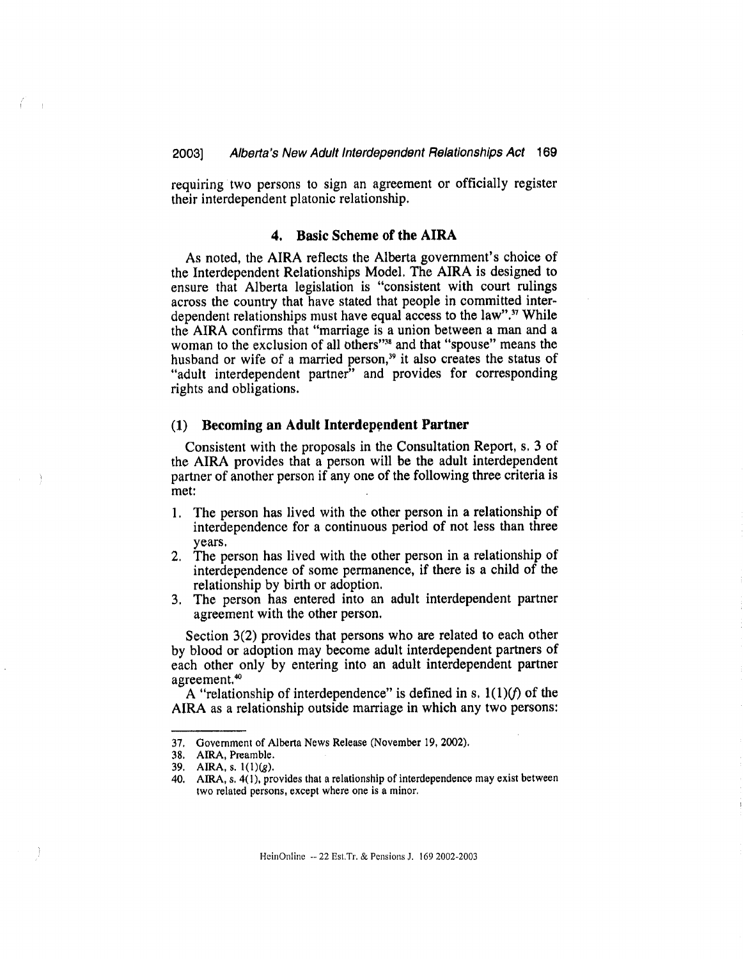requiring two persons to sign an agreement or officially register their interdependent platonic relationship.

#### 4. Basic Scheme of the AIRA

As noted, the AIRA reflects the Alberta government's choice of the Interdependent Relationships Model. The AIRA is designed to ensure that Alberta legislation is "consistent with court rulings across the country that have stated that people in committed interdependent relationships must have equal access to the law".<sup>37</sup> While the AIRA confirms that "marriage is a union between a man and a woman to the exclusion of all others"<sup>38</sup> and that "spouse" means the husband or wife of a married person,<sup>39</sup> it also creates the status of "adult interdependent partner" and provides for corresponding rights and obligations.

## (I) Becoming an Adult Interdependent Partner

Consistent with the proposals in the Consultation Report, s. 3 of the AIRA provides that a person will be the adult interdependent partner of another person if any one of the following three criteria is met:

- 1. The person has lived with the other person in a relationship of interdependence for a continuous period of not less than three years.
- 2. The person has lived with the other person in a relationship of interdependence of some permanence, if there is a child of the relationship by birth or adoption.
- 3. The person has entered into an adult interdependent partner agreement with the other person.

Section 3(2) provides that persons who are related to each other by blood or adoption may become adult interdependent partners of each other only by entering into an adult interdependent partner agreement.<sup>40</sup>

A "relationship of interdependence" is defined in s,  $1(1)(f)$  of the AIRA as a relationship outside marriage in which any two persons:

<sup>37.</sup> Government of Alberta News Release (November 19, 2002),

<sup>38.</sup> AIRA, Preamble.

<sup>39.</sup> AIRA, s, 1(1)(g),

<sup>40.</sup> AIRA, s. 4(1), provides that a relationship of interdependence may exist between two related persons, except where one is a minor,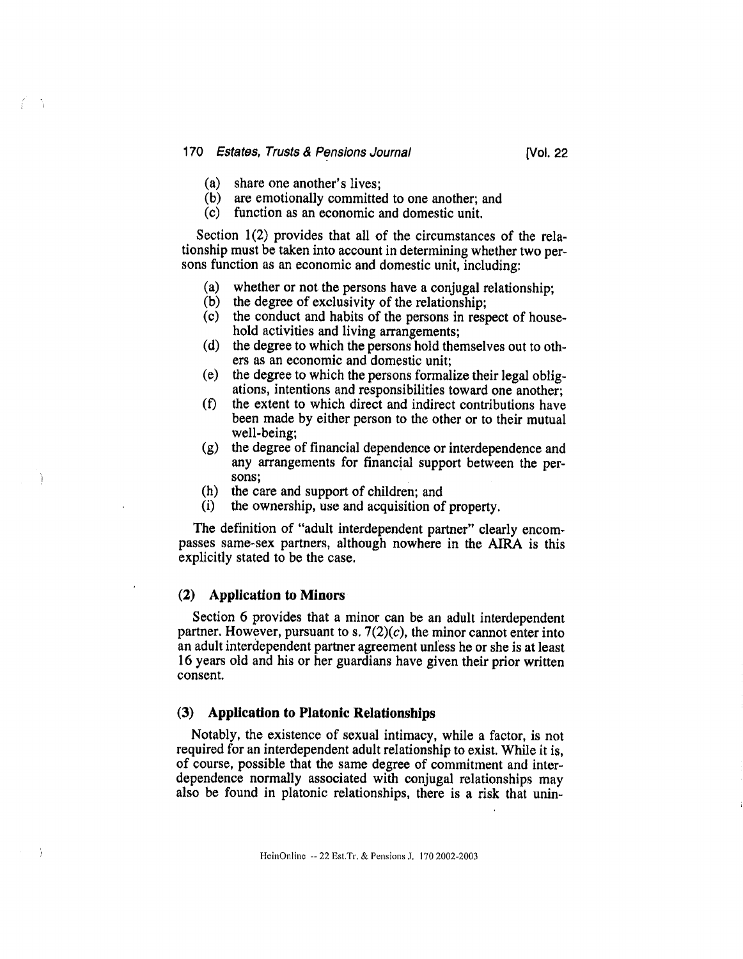#### 170 Estates, Trusts & Pensions Journal [Vol. 22]

- (a) share one another's lives;
- (b) are emotionally committed to one another; and
- (c) function as an economic and domestic unit.

Section 1(2) provides that all of the circumstances of the relationship must be taken into account in determining whether two persons function as an economic and domestic unit, including:

- (a) whether or not the persons have a conjugal relationship;
- (b) the degree of exclusivity of the relationship;
- (c) the conduct and habits of the persons in respect of household activities and living arrangements;
- (d) the degree to which the persons hold themselves out to others as an economic and domestic unit;
- (e) the degree to which the persons formalize their legal obligations, intentions and responsibilities toward one another;
- (f) the extent to which direct and indirect contributions have been made by either person to the other or to their mutual well-being;
- (g) the degree of financial dependence or interdependence and any arrangements for financial support between the persons;
- (h) the care and support of children; and  $(i)$  the ownership, use and acquisition of
- the ownership, use and acquisition of property.

The definition of "adult interdependent partner" clearly encompasses same-sex partners, although nowhere in the AIRA is this explicitly stated to be the case.

# (2) Application to Minors

Section 6 provides that a minor can be an adult interdependent partner. However, pursuant to s.  $7(2)(c)$ , the minor cannot enter into an adult interdependent partner agreement unless he or she is at least 16 years old and his or her guardians have given their prior written consent.

#### (3) Application to Platonic Relationships

Notably, the existence of sexual intimacy, while a factor, is not required for an interdependent adult relationship to exist. While it is, of course, possible that the same degree of commitment and interdependence normally associated with conjugal relationships may also be found in platonic relationships, there is a risk that unin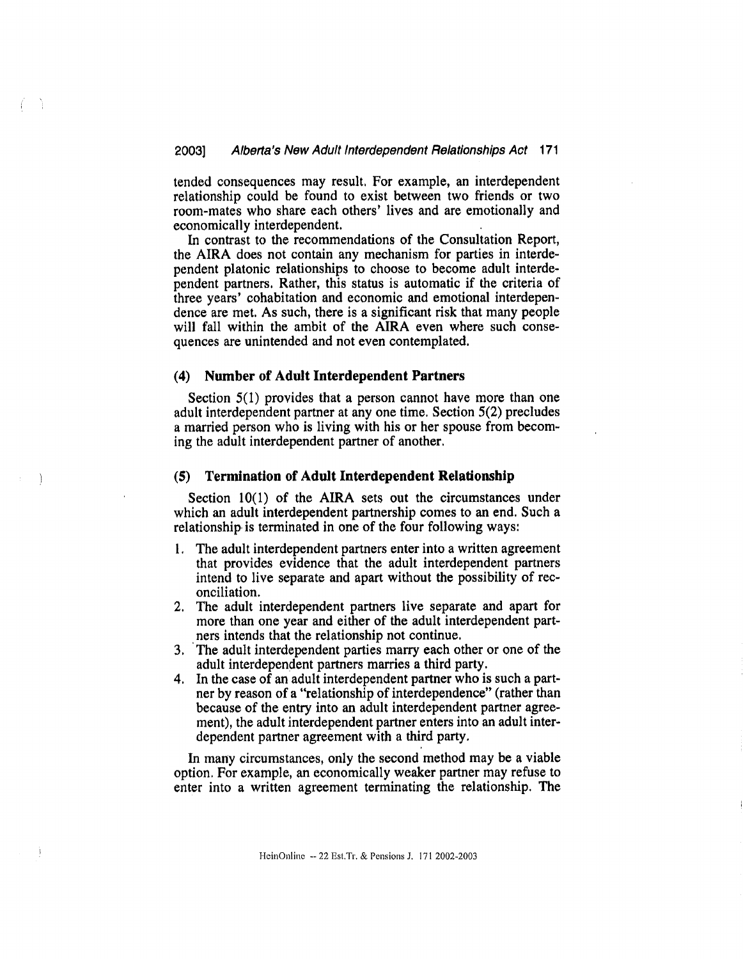tended consequences may result. For example, an interdependent relationship could be found to exist between two friends or two room-mates who share each others' lives and are emotionally and economically interdependent.

In contrast to the recommendations of the Consultation Report, the AIRA does not contain any mechanism for parties in interdependent platonic relationships to choose to become adult interdependent partners. Rather, this status is automatic if the criteria of three years' cohabitation and economic and emotional interdependence are met. As such, there is a significant risk that many people will fall within the ambit of the AIRA even where such consequences are unintended and not even contemplated.

#### (4) Number of Adult Interdependent Partners

Section 5(1) provides that a person cannot have more than one adult interdependent partner at any one time. Section 5(2) precludes a married person who is living with his or her spouse from becoming the adult interdependent partner of another,

#### (5) Termination of Adult Interdependent Relationship

Section 10(1) of the AIRA sets out the circumstances under which an adult interdependent partnership comes to an end. Such a relationship is terminated in one of the four following ways:

- 1. The adult interdependent partners enter into a written agreement that provides evidence that the adult interdependent partners intend to live separate and apart without the possibility of reconciliation.
- 2. The adult interdependent partners live separate and apart for more than one year and either of the adult interdependent partners intends that the relationship not continue.
- 3. The adult interdependent parties marry each other or one of the adult interdependent partners marries a third party.
- 4. In the case of an adult interdependent partner who is such a partner by reason of a "relationship of interdependence" (rather than because of the entry into an adult interdependent partner agreement), the adult interdependent partner enters into an adult interdependent partner agreement with a third party.

In many circumstances, only the second method may be a viable option. For example, an economically weaker partner may refuse to enter into a written agreement terminating the relationship. The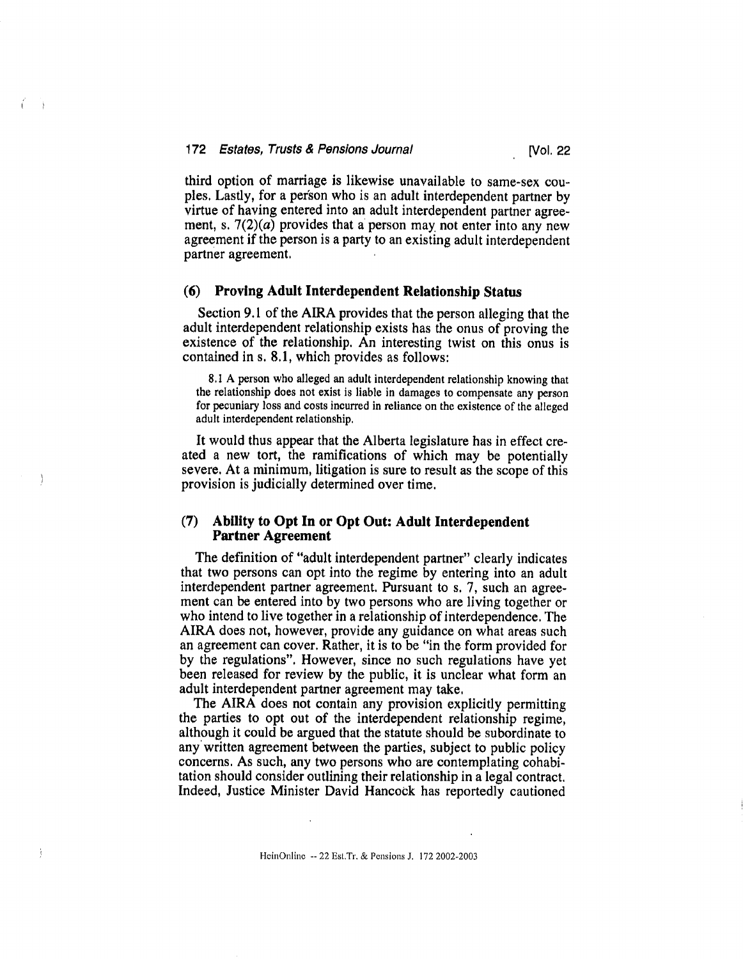third option of marriage is likewise unavailable to same-sex couples. Lastly, for a person who is an adult interdependent partner by virtue of having entered into an adult interdependent partner agreement, s.  $7(2)(a)$  provides that a person may not enter into any new agreement if the person is a party to an existing adult interdependent partner agreement.

## (6) Proving Adult Interdependent Relationship Status

Section 9.1 of the AIRA provides that the person alleging that the adult interdependent relationship exists has the onus of proving the existence of the relationship. An interesting twist on this onus is contained in s. 8.1, which provides as follows:

8.1 A person who alleged an adult interdependent relationship knowing that the relationship does not exist is liable in damages to compensate any person for pecuniary loss and costs incurred in reliance on the existence of the alleged adult interdependent relationship.

It would thus appear that the Alberta legislature has in effect created a new tort, the ramifications of which may be potentially severe. At a minimum, litigation is sure to result as the scope of this provision is judicially determined over time.

## (7) Ability to Opt In or Opt Out: Adult Interdependent Partner Agreement

 $\bigg)$ 

Ì

The definition of "adult interdependent partner" clearly indicates that two persons can opt into the regime by entering into an adult interdependent partner agreement. Pursuant to s. 7, such an agreement can be entered into by two persons who are living together or who intend to live together in a relationship of interdependence. The AIRA does not, however, provide any guidance on what areas such an agreement can cover. Rather, it is to be "in the form provided for by the regulations". However, since no such regulations have yet been released for review by the public, it is unclear what form an adult interdependent partner agreement may take,

The AIRA does not contain any provision explicitly permitting the parties to opt out of the interdependent relationship regime, although it could be argued that the statute should be subordinate to any written agreement between the parties, subject to public policy concerns. As such, any two persons who are contemplating cohabitation should consider outlining their relationship in a legal contract. Indeed, Justice Minister David Hancock has reportedly cautioned

HeinOnline -- 22 Est,Tr, & Pensions J, 172 2002-2003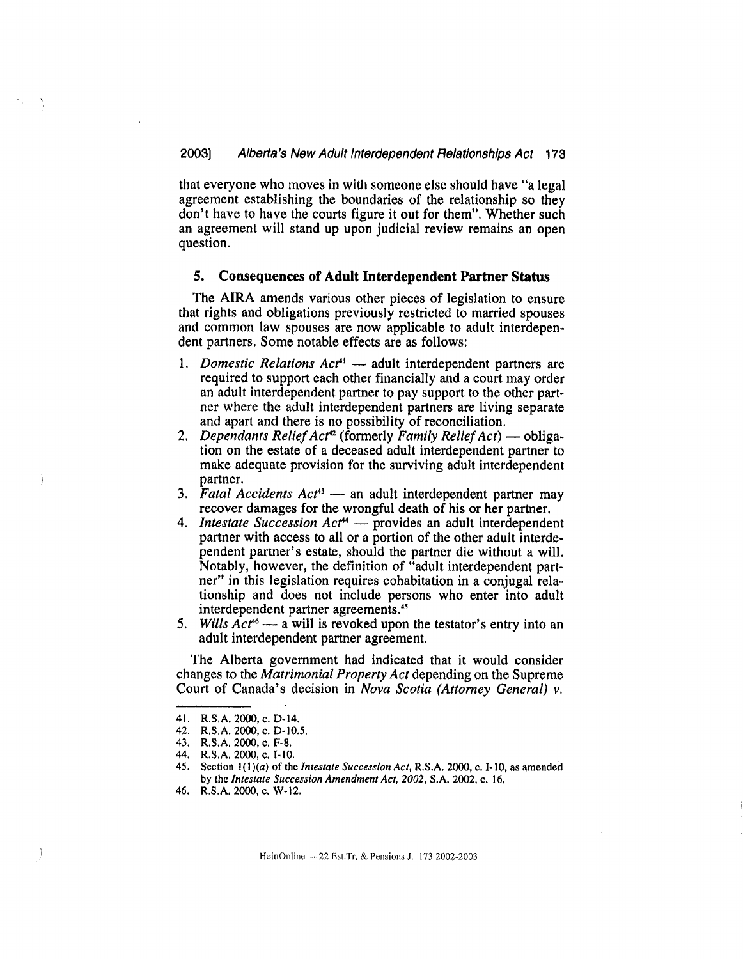that everyone who moves in with someone else should have "a legal agreement establishing the boundaries of the relationship so they don't have to have the courts figure it out for them", Whether such an agreement will stand up upon judicial review remains an open question.

#### 5. Consequences of Adult Interdependent Partner Status

The AIRA amends various other pieces of legislation to ensure that rights and obligations previously restricted to married spouses and common law spouses are now applicable to adult interdependent partners. Some notable effects are as follows:

- 1. Domestic Relations  $Act^1$  adult interdependent partners are required to support each other financially and a court may order an adult interdependent partner to pay support to the other partner where the adult interdependent partners are living separate and apart and there is no possibility of reconciliation.
- 2. Dependants Relief Act<sup>42</sup> (formerly Family Relief Act) obligation on the estate of a deceased adult interdependent partner to make adequate provision for the surviving adult interdependent partner.
- 3. Fatal Accidents  $Act^{43}$  an adult interdependent partner may recover damages for the wrongful death of his or her partner,
- 4. Intestate Succession Act<sup>44</sup> provides an adult interdependent partner with access to all or a portion of the other adult interdependent partner's estate, should the partner die without a will, Notably, however, the definition of "adult interdependent partner" in this legislation requires cohabitation in a conjugal relationship and does not include persons who enter into adult interdependent partner agreements."
- 5. Wills  $Act^{46}$  a will is revoked upon the testator's entry into an adult interdependent partner agreement.

The Alberta government had indicated that it would consider changes to the Matrimonial Property Act depending on the Supreme Court of Canada's decision in Nova Scotia (Attorney General) v.

<sup>41.</sup> R.S.A. 2000, c. D-14,

<sup>42.</sup> R.S.A. 2000, c. D-10.5,

<sup>43.</sup> R.S.A, 2000, c. F-S.

<sup>44.</sup> R.S.A. 2000, c. 1-10.

<sup>45.</sup> Section  $1(1)(a)$  of the *Intestate Succession Act*, R.S.A. 2000, c. I-10, as amended by the Intestate Succession Amendment Act, 2002, S.A. 2002, c. 16.

<sup>46.</sup> R.S.A. 2000, c. W-12.